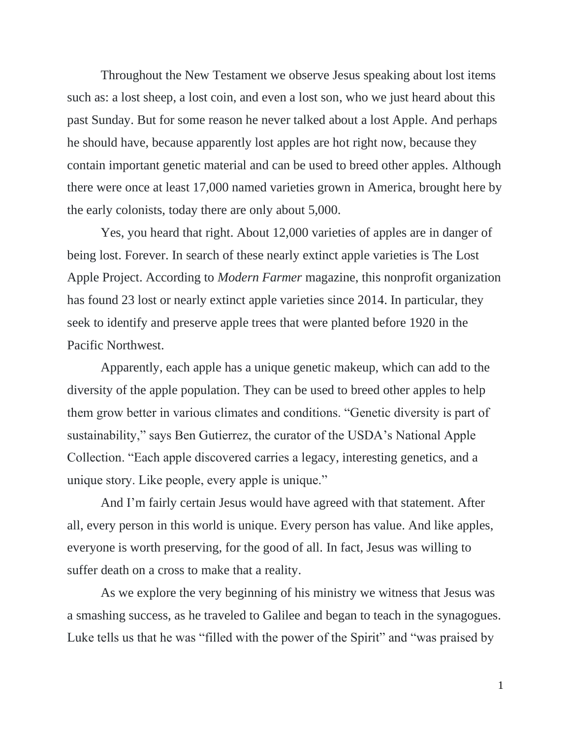Throughout the New Testament we observe Jesus speaking about lost items such as: a lost sheep, a lost coin, and even a lost son, who we just heard about this past Sunday. But for some reason he never talked about a lost Apple. And perhaps he should have, because apparently lost apples are hot right now, because they contain important genetic material and can be used to breed other apples. Although there were once at least 17,000 named varieties grown in America, brought here by the early colonists, today there are only about 5,000.

Yes, you heard that right. About 12,000 varieties of apples are in danger of being lost. Forever. In search of these nearly extinct apple varieties is The Lost Apple Project. According to *Modern Farmer* magazine, this nonprofit organization has found 23 lost or nearly extinct apple varieties since 2014. In particular, they seek to identify and preserve apple trees that were planted before 1920 in the Pacific Northwest.

Apparently, each apple has a unique genetic makeup, which can add to the diversity of the apple population. They can be used to breed other apples to help them grow better in various climates and conditions. "Genetic diversity is part of sustainability," says Ben Gutierrez, the curator of the USDA's National Apple Collection. "Each apple discovered carries a legacy, interesting genetics, and a unique story. Like people, every apple is unique."

And I'm fairly certain Jesus would have agreed with that statement. After all, every person in this world is unique. Every person has value. And like apples, everyone is worth preserving, for the good of all. In fact, Jesus was willing to suffer death on a cross to make that a reality.

As we explore the very beginning of his ministry we witness that Jesus was a smashing success, as he traveled to Galilee and began to teach in the synagogues. Luke tells us that he was "filled with the power of the Spirit" and "was praised by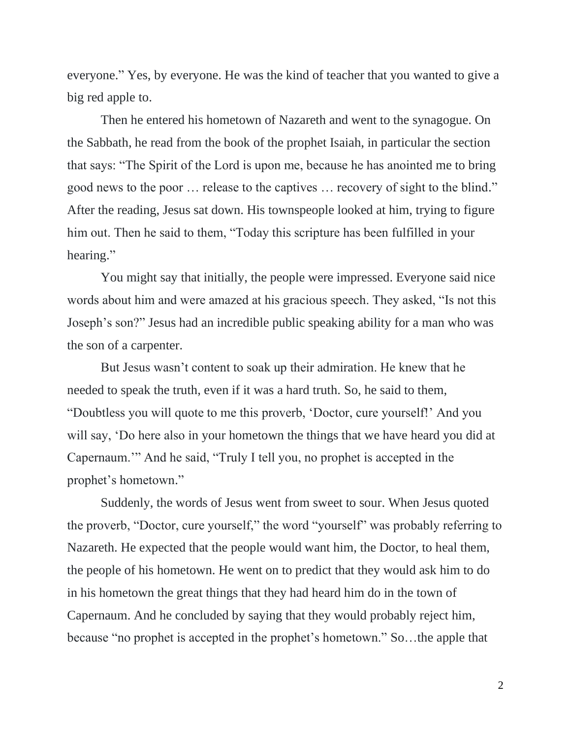everyone." Yes, by everyone. He was the kind of teacher that you wanted to give a big red apple to.

Then he entered his hometown of Nazareth and went to the synagogue. On the Sabbath, he read from the book of the prophet Isaiah, in particular the section that says: "The Spirit of the Lord is upon me, because he has anointed me to bring good news to the poor … release to the captives … recovery of sight to the blind." After the reading, Jesus sat down. His townspeople looked at him, trying to figure him out. Then he said to them, "Today this scripture has been fulfilled in your hearing."

You might say that initially, the people were impressed. Everyone said nice words about him and were amazed at his gracious speech. They asked, "Is not this Joseph's son?" Jesus had an incredible public speaking ability for a man who was the son of a carpenter.

But Jesus wasn't content to soak up their admiration. He knew that he needed to speak the truth, even if it was a hard truth. So, he said to them, "Doubtless you will quote to me this proverb, 'Doctor, cure yourself!' And you will say, 'Do here also in your hometown the things that we have heard you did at Capernaum.'" And he said, "Truly I tell you, no prophet is accepted in the prophet's hometown."

Suddenly, the words of Jesus went from sweet to sour. When Jesus quoted the proverb, "Doctor, cure yourself," the word "yourself" was probably referring to Nazareth. He expected that the people would want him, the Doctor, to heal them, the people of his hometown. He went on to predict that they would ask him to do in his hometown the great things that they had heard him do in the town of Capernaum. And he concluded by saying that they would probably reject him, because "no prophet is accepted in the prophet's hometown." So…the apple that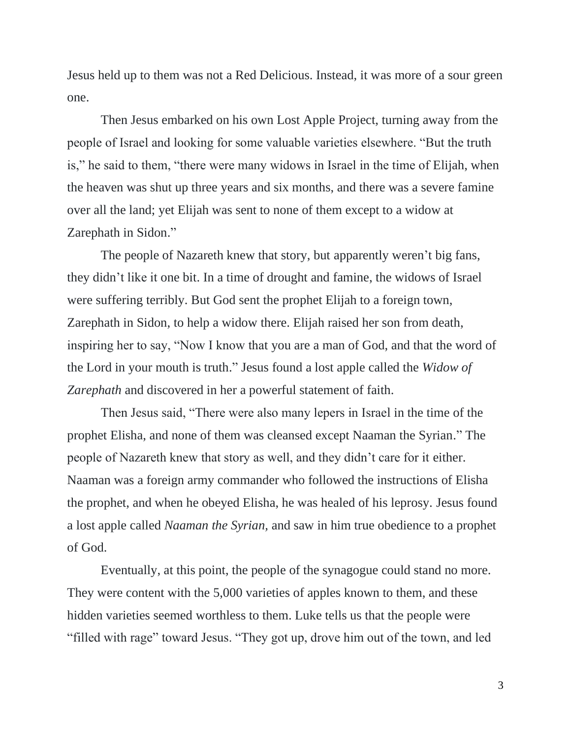Jesus held up to them was not a Red Delicious. Instead, it was more of a sour green one.

Then Jesus embarked on his own Lost Apple Project, turning away from the people of Israel and looking for some valuable varieties elsewhere. "But the truth is," he said to them, "there were many widows in Israel in the time of Elijah, when the heaven was shut up three years and six months, and there was a severe famine over all the land; yet Elijah was sent to none of them except to a widow at Zarephath in Sidon."

The people of Nazareth knew that story, but apparently weren't big fans, they didn't like it one bit. In a time of drought and famine, the widows of Israel were suffering terribly. But God sent the prophet Elijah to a foreign town, Zarephath in Sidon, to help a widow there. Elijah raised her son from death, inspiring her to say, "Now I know that you are a man of God, and that the word of the Lord in your mouth is truth." Jesus found a lost apple called the *Widow of Zarephath* and discovered in her a powerful statement of faith.

Then Jesus said, "There were also many lepers in Israel in the time of the prophet Elisha, and none of them was cleansed except Naaman the Syrian." The people of Nazareth knew that story as well, and they didn't care for it either. Naaman was a foreign army commander who followed the instructions of Elisha the prophet, and when he obeyed Elisha, he was healed of his leprosy. Jesus found a lost apple called *Naaman the Syrian,* and saw in him true obedience to a prophet of God.

Eventually, at this point, the people of the synagogue could stand no more. They were content with the 5,000 varieties of apples known to them, and these hidden varieties seemed worthless to them. Luke tells us that the people were "filled with rage" toward Jesus. "They got up, drove him out of the town, and led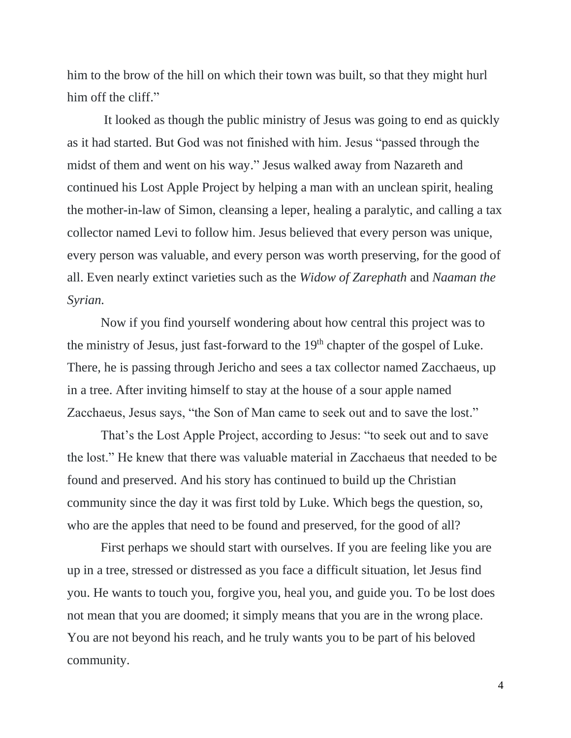him to the brow of the hill on which their town was built, so that they might hurl him off the cliff."

It looked as though the public ministry of Jesus was going to end as quickly as it had started. But God was not finished with him. Jesus "passed through the midst of them and went on his way." Jesus walked away from Nazareth and continued his Lost Apple Project by helping a man with an unclean spirit, healing the mother-in-law of Simon, cleansing a leper, healing a paralytic, and calling a tax collector named Levi to follow him. Jesus believed that every person was unique, every person was valuable, and every person was worth preserving, for the good of all. Even nearly extinct varieties such as the *Widow of Zarephath* and *Naaman the Syrian.*

Now if you find yourself wondering about how central this project was to the ministry of Jesus, just fast-forward to the  $19<sup>th</sup>$  chapter of the gospel of Luke. There, he is passing through Jericho and sees a tax collector named Zacchaeus, up in a tree. After inviting himself to stay at the house of a sour apple named Zacchaeus, Jesus says, "the Son of Man came to seek out and to save the lost."

That's the Lost Apple Project, according to Jesus: "to seek out and to save the lost." He knew that there was valuable material in Zacchaeus that needed to be found and preserved. And his story has continued to build up the Christian community since the day it was first told by Luke. Which begs the question, so, who are the apples that need to be found and preserved, for the good of all?

First perhaps we should start with ourselves. If you are feeling like you are up in a tree, stressed or distressed as you face a difficult situation, let Jesus find you. He wants to touch you, forgive you, heal you, and guide you. To be lost does not mean that you are doomed; it simply means that you are in the wrong place. You are not beyond his reach, and he truly wants you to be part of his beloved community.